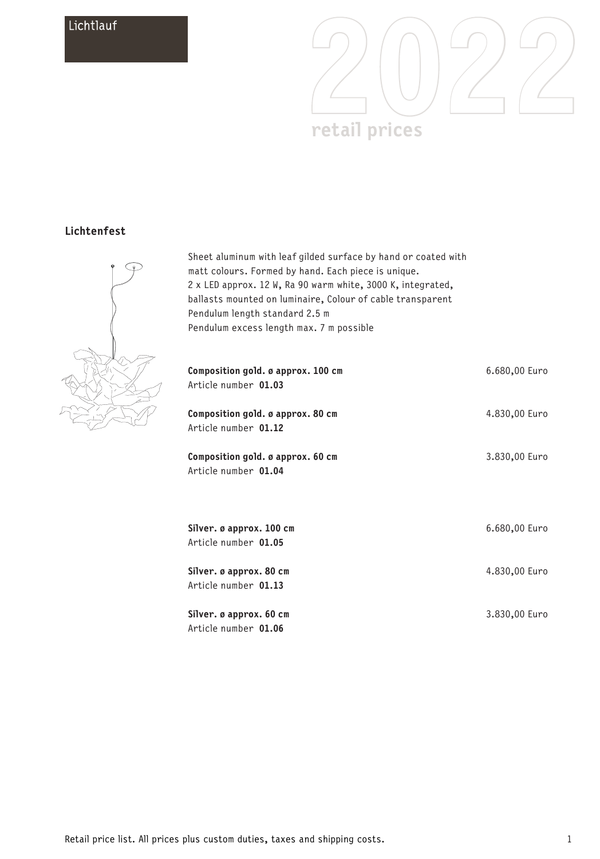

## **Lichtenfest**



Sheet aluminum with leaf gilded surface by hand or coated with matt colours. Formed by hand. Each piece is unique. 2 x LED approx. 12 W, Ra 90 warm white, 3000 K, integrated, ballasts mounted on luminaire, Colour of cable transparent Pendulum length standard 2.5 m Pendulum excess length max. 7 m possible

| Composition gold. ø approx. 100 cm<br>Article number 01.03 | 6.680,00 Euro |
|------------------------------------------------------------|---------------|
| Composition gold. ø approx. 80 cm<br>Article number 01.12  | 4.830,00 Euro |
| Composition gold. ø approx. 60 cm<br>Article number 01.04  | 3.830,00 Euro |
| Silver. ø approx. 100 cm<br>Article number 01.05           | 6.680,00 Euro |
| Silver. ø approx. 80 cm<br>Article number 01.13            | 4.830,00 Euro |
| Silver. ø approx. 60 cm<br>Article number 01.06            | 3.830,00 Euro |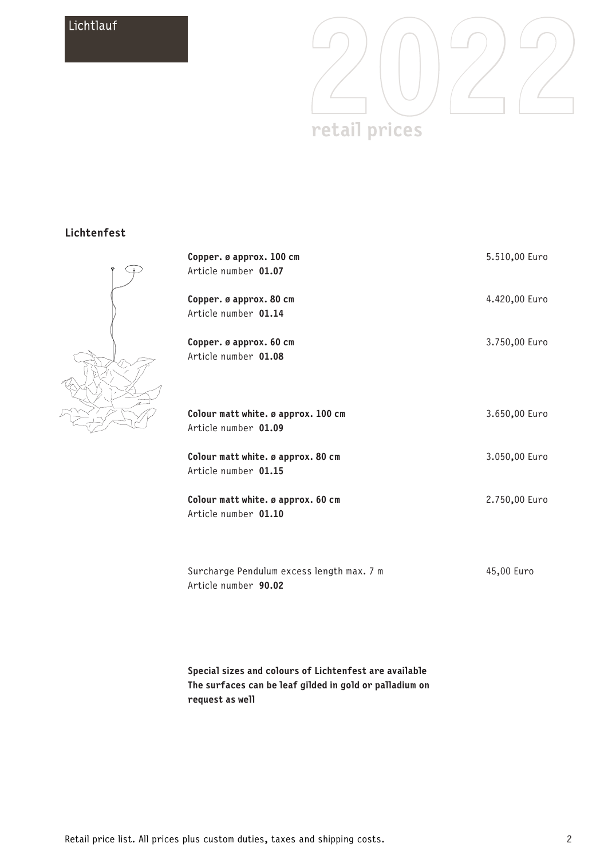

## **Lichtenfest**



| Copper. ø approx. 100 cm<br>Article number 01.07                  | 5.510,00 Euro |
|-------------------------------------------------------------------|---------------|
| Copper. ø approx. 80 cm<br>Article number 01.14                   | 4.420,00 Euro |
| Copper. ø approx. 60 cm<br>Article number 01.08                   | 3.750,00 Euro |
| Colour matt white. ø approx. 100 cm<br>Article number 01.09       | 3.650,00 Euro |
| Colour matt white. ø approx. 80 cm<br>Article number 01.15        | 3.050,00 Euro |
| Colour matt white. ø approx. 60 cm<br>Article number 01.10        | 2.750,00 Euro |
| Surcharge Pendulum excess length max. 7 m<br>Article number 90.02 | 45,00 Euro    |

**Special sizes and colours of Lichtenfest are available The surfaces can be leaf gilded in gold or palladium on request as well**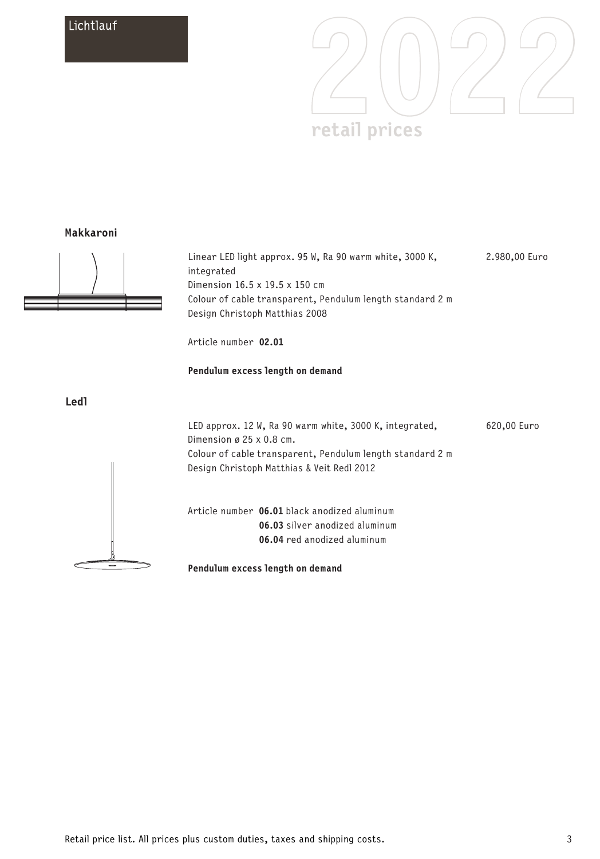

#### **Makkaroni**



Linear LED light approx. 95 W, Ra 90 warm white, 3000 K, integrated Dimension 16.5 x 19.5 x 150 cm Colour of cable transparent, Pendulum length standard 2 m Design Christoph Matthias 2008 2.980,00 Euro

Article number **02.01**

#### **Pendulum excess length on demand**

**Ledl**



**Pendulum excess length on demand**

620,00 Euro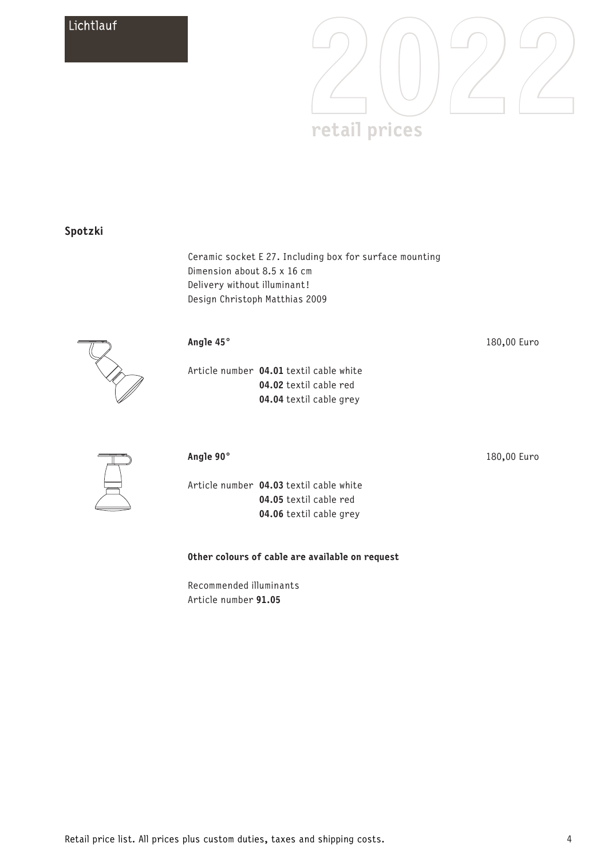

### **Spotzki**

Ceramic socket E 27. Including box for surface mounting Dimension about 8.5 x 16 cm Delivery without illuminant! Design Christoph Matthias 2009



### **Angle 45°**

Article number **04.01** textil cable white **04.02** textil cable red **04.04** textil cable grey

180,00 Euro

180,00 Euro



### **Angle 90°**

Article number **04.03** textil cable white **04.05** textil cable red **04.06** textil cable grey

### **Other colours of cable are available on request**

Recommended illuminants Article number **91.05**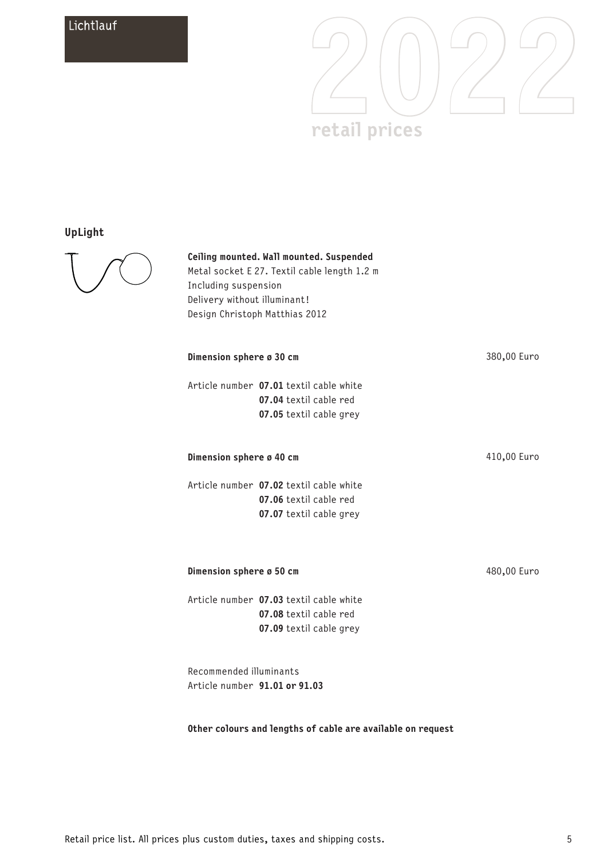

## **UpLight**



#### **Ceiling mounted. Wall mounted. Suspended**

Metal socket E 27. Textil cable length 1.2 m Including suspension Delivery without illuminant! Design Christoph Matthias 2012

| Dimension sphere ø 30 cm |                                                                                              | 380,00 Euro |
|--------------------------|----------------------------------------------------------------------------------------------|-------------|
|                          | Article number 07.01 textil cable white<br>07.04 textil cable red<br>07.05 textil cable grey |             |
| Dimension sphere ø 40 cm |                                                                                              | 410,00 Euro |
|                          | Article number 07.02 textil cable white<br>07.06 textil cable red<br>07.07 textil cable grey |             |
| Dimension sphere ø 50 cm |                                                                                              | 480,00 Euro |
|                          | Article number 07.03 textil cable white<br>07.08 textil cable red<br>07.09 textil cable grey |             |

Recommended illuminants Article number **91.01 or 91.03**

### **Other colours and lengths of cable are available on request**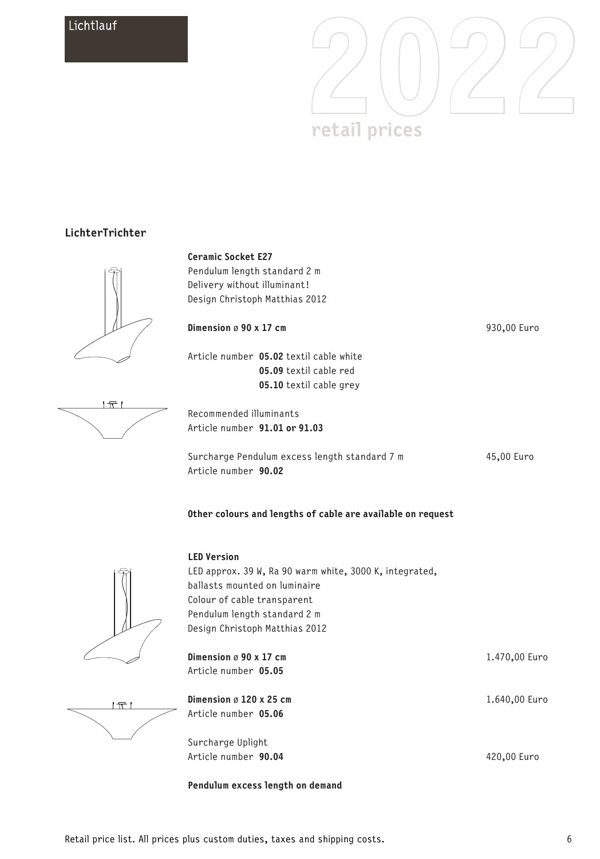

### **LichterTrichter**





Pendulum length standard 2 m Delivery without illuminant! Design Christoph Matthias 2012

| Dimension $\varnothing$ 90 x 17 cm |                                         |
|------------------------------------|-----------------------------------------|
|                                    | Article number 05.02 textil cable white |
|                                    | 05.09 textil cable red                  |
|                                    | 05.10 textil cable grey                 |

Recommended illuminants Article number **91.01 or 91.03**

Surcharge Pendulum excess length standard 7 m Article number **90.02**

45,00 Euro

930,00 Euro





 $\overline{T}$ 

| <b>LED Version</b>                                      |               |
|---------------------------------------------------------|---------------|
| LED approx. 39 W, Ra 90 warm white, 3000 K, integrated, |               |
| ballasts mounted on luminaire                           |               |
| Colour of cable transparent                             |               |
| Pendulum length standard 2 m                            |               |
| Design Christoph Matthias 2012                          |               |
|                                                         |               |
| Dimension $\varnothing$ 90 x 17 cm                      | 1.470,00 Euro |
| Article number 05.05                                    |               |
|                                                         |               |
| Dimension $\varnothing$ 120 x 25 cm                     | 1.640,00 Euro |
| Article number 05.06                                    |               |
|                                                         |               |
| Surcharge Uplight                                       |               |

420,00 Euro

**Pendulum excess length on demand**



Article number **90.04**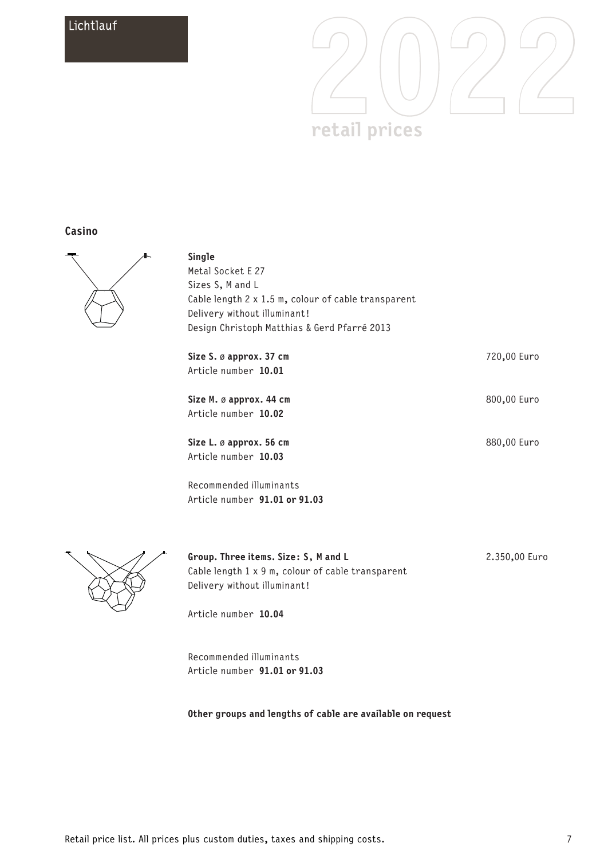

### **Casino**



**Single** Metal Socket E 27 Sizes S, M and L Cable length 2 x 1.5 m, colour of cable transparent Delivery without illuminant! Design Christoph Matthias & Gerd Pfarré 2013

**Size S.** ø **approx. 37 cm** Article number **10.01 Size M.** ø **approx. 44 cm** Article number **10.02 Size L.** ø **approx. 56 cm** Article number **10.03** Recommended illuminants Article number **91.01 or 91.03** 720,00 Euro 800,00 Euro 880,00 Euro



**Group. Three items. Size: S, M and L** Cable length 1 x 9 m, colour of cable transparent Delivery without illuminant!

2.350,00 Euro

Article number **10.04**

Recommended illuminants Article number **91.01 or 91.03**

**Other groups and lengths of cable are available on request**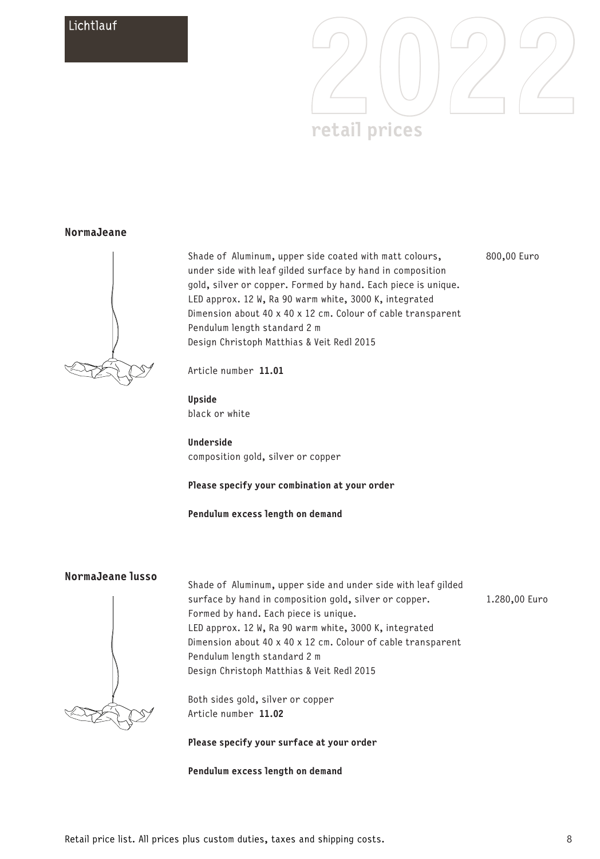

### **NormaJeane**



Shade of Aluminum, upper side coated with matt colours, under side with leaf gilded surface by hand in composition gold, silver or copper. Formed by hand. Each piece is unique. LED approx. 12 W, Ra 90 warm white, 3000 K, integrated Dimension about 40 x 40 x 12 cm. Colour of cable transparent Pendulum length standard 2 m Design Christoph Matthias & Veit Redl 2015 800,00 Euro

Article number **11.01**

**Upside** black or white

**Underside** composition gold, silver or copper

#### **Please specify your combination at your order**

**Pendulum excess length on demand**

### **NormaJeane lusso**



Shade of Aluminum, upper side and under side with leaf gilded surface by hand in composition gold, silver or copper. Formed by hand. Each piece is unique. LED approx. 12 W, Ra 90 warm white, 3000 K, integrated Dimension about 40 x 40 x 12 cm. Colour of cable transparent Pendulum length standard 2 m Design Christoph Matthias & Veit Redl 2015

Both sides gold, silver or copper Article number **11.02**

#### **Please specify your surface at your order**

**Pendulum excess length on demand**

Retail price list. All prices plus custom duties, taxes and shipping costs.

1.280,00 Euro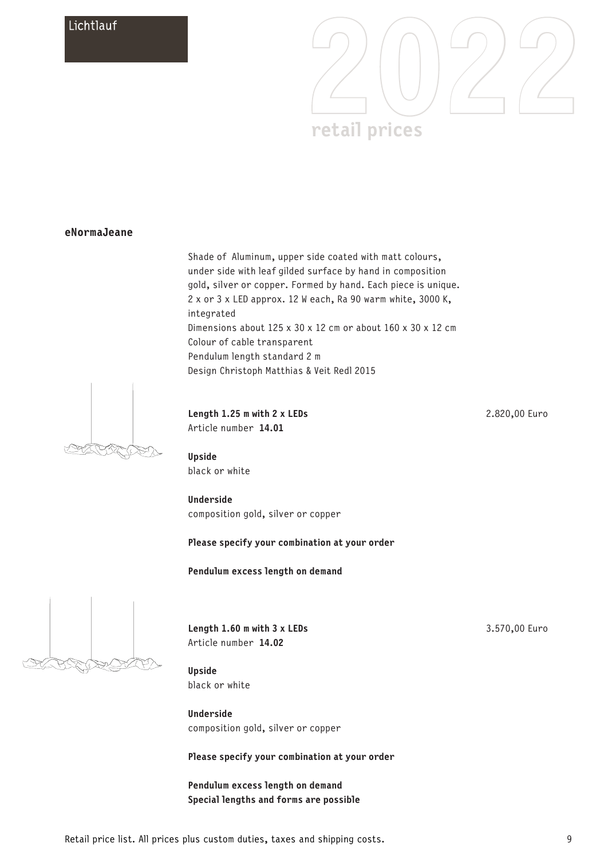

### **eNormaJeane**

Shade of Aluminum, upper side coated with matt colours, under side with leaf gilded surface by hand in composition gold, silver or copper. Formed by hand. Each piece is unique. 2 x or 3 x LED approx. 12 W each, Ra 90 warm white, 3000 K, integrated Dimensions about 125 x 30 x 12 cm or about 160 x 30 x 12 cm Colour of cable transparent Pendulum length standard 2 m Design Christoph Matthias & Veit Redl 2015



#### **Length 1.25 m with 2 x LEDs** Article number **14.01**

**Upside** black or white

**Underside** composition gold, silver or copper

#### **Please specify your combination at your order**

**Pendulum excess length on demand**



**Length 1.60 m with 3 x LEDs** Article number **14.02**

3.570,00 Euro

2.820,00 Euro

**Upside** black or white

**Underside** composition gold, silver or copper

**Please specify your combination at your order**

**Pendulum excess length on demand Special lengths and forms are possible**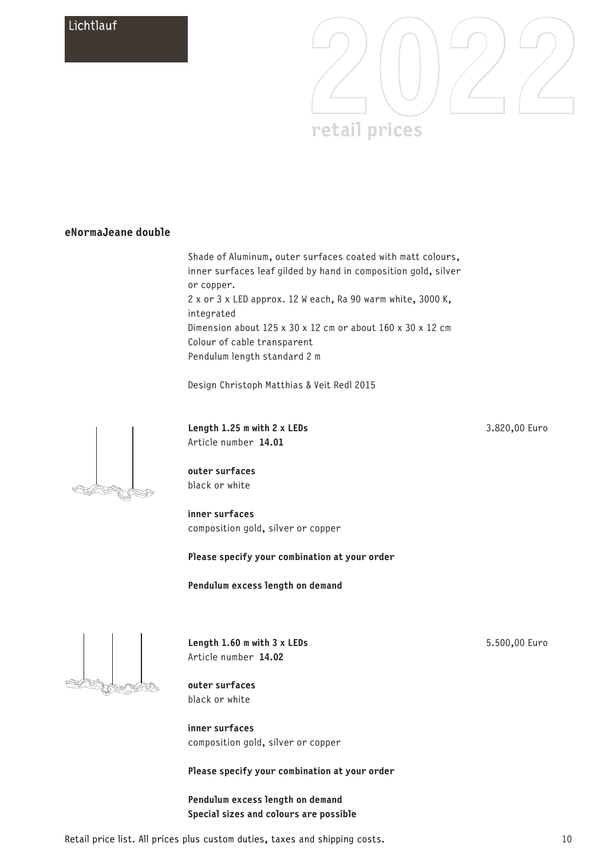

## **eNormaJeane double**

Shade of Aluminum, outer surfaces coated with matt colours, inner surfaces leaf gilded by hand in composition gold, silver or copper. 2 x or 3 x LED approx. 12 W each, Ra 90 warm white, 3000 K, integrated Dimension about 125 x 30 x 12 cm or about 160 x 30 x 12 cm Colour of cable transparent Pendulum length standard 2 m

Design Christoph Matthias & Veit Redl 2015



**Length 1.25 m with 2 x LEDs** Article number **14.01**

**outer surfaces** black or white

**inner surfaces** composition gold, silver or copper

**Please specify your combination at your order**

**Pendulum excess length on demand**



**Length 1.60 m with 3 x LEDs** Article number **14.02**

5.500,00 Euro

3.820,00 Euro

**outer surfaces** black or white

**inner surfaces** composition gold, silver or copper

**Please specify your combination at your order**

**Pendulum excess length on demand Special sizes and colours are possible**

Retail price list. All prices plus custom duties, taxes and shipping costs.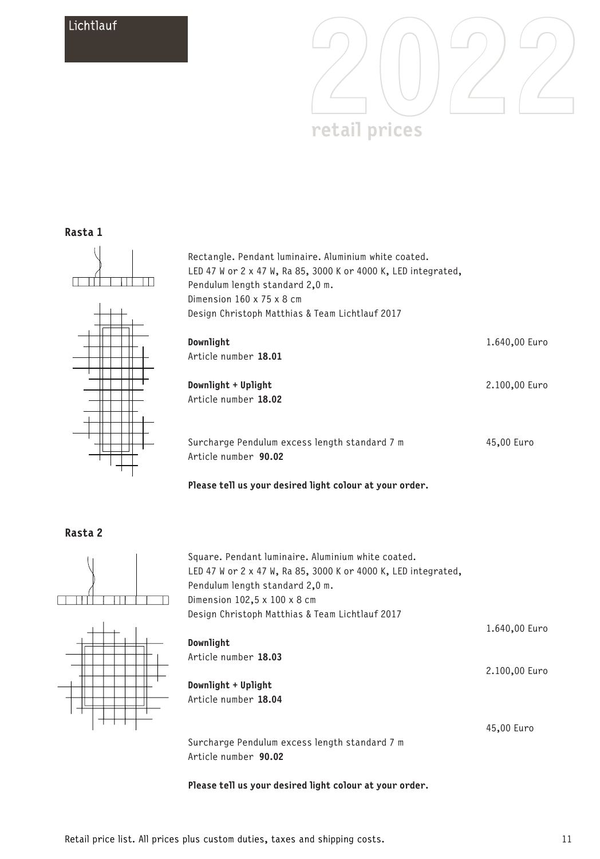

### **Rasta 1**



Rectangle. Pendant luminaire. Aluminium white coated. LED 47 W or 2 x 47 W, Ra 85, 3000 K or 4000 K, LED integrated, Pendulum length standard 2,0 m. Dimension 160 x 75 x 8 cm Design Christoph Matthias & Team Lichtlauf 2017



| Downlight<br>Article number 18.01                                     | 1.640,00 Euro |
|-----------------------------------------------------------------------|---------------|
| Downlight + Uplight<br>Article number 18.02                           | 2.100,00 Euro |
| Surcharge Pendulum excess length standard 7 m<br>Article number 90.02 | 45,00 Euro    |

**Please tell us your desired light colour at your order.**

Square. Pendant luminaire. Aluminium white coated.





| LED 47 W or 2 x 47 W, Ra 85, 3000 K or 4000 K, LED integrated, |               |
|----------------------------------------------------------------|---------------|
| Pendulum length standard 2.0 m.                                |               |
| Dimension $102.5 \times 100 \times 8$ cm                       |               |
| Design Christoph Matthias & Team Lichtlauf 2017                |               |
|                                                                | 1.640,00 Euro |
| Downlight                                                      |               |
| Article number 18.03                                           |               |
|                                                                | 2.100,00 Euro |
| Downlight + Uplight                                            |               |
| Article number 18.04                                           |               |
|                                                                |               |
|                                                                | 45,00 Euro    |
| Surcharge Pendulum excess length standard 7 m                  |               |
|                                                                |               |

Article number **90.02**

**Please tell us your desired light colour at your order.**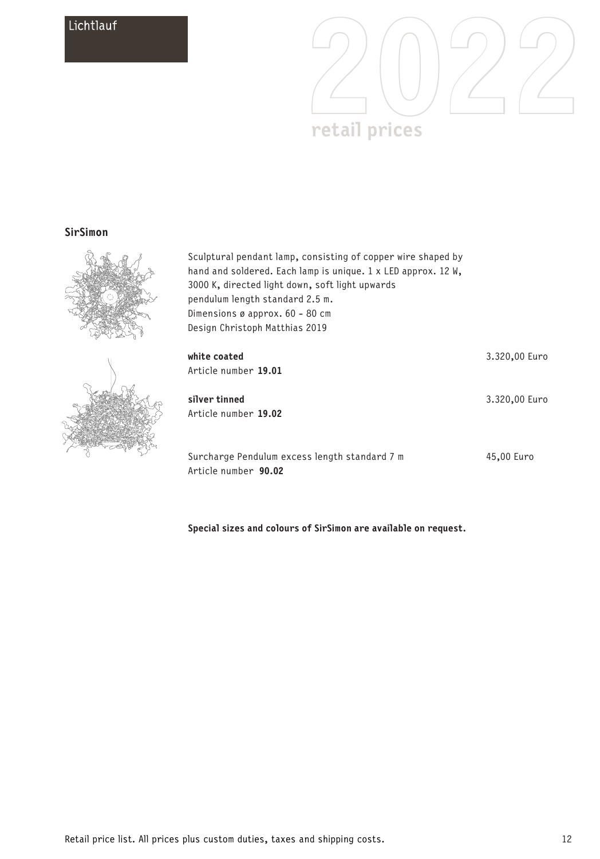

### **SirSimon**



Sculptural pendant lamp, consisting of copper wire shaped by hand and soldered. Each lamp is unique. 1 x LED approx. 12 W, 3000 K, directed light down, soft light upwards pendulum length standard 2.5 m. Dimensions ø approx. 60 - 80 cm Design Christoph Matthias 2019

| white c<br>Article             |
|--------------------------------|
| silver <sup>.</sup><br>Article |
| Surcha                         |

| white coated<br>Article number 19.01                                  | 3.320,00 Euro |
|-----------------------------------------------------------------------|---------------|
| silver tinned<br>Article number 19.02                                 | 3.320,00 Euro |
| Surcharge Pendulum excess length standard 7 m<br>Article number 90.02 | 45.00 Euro    |

**Special sizes and colours of SirSimon are available on request.**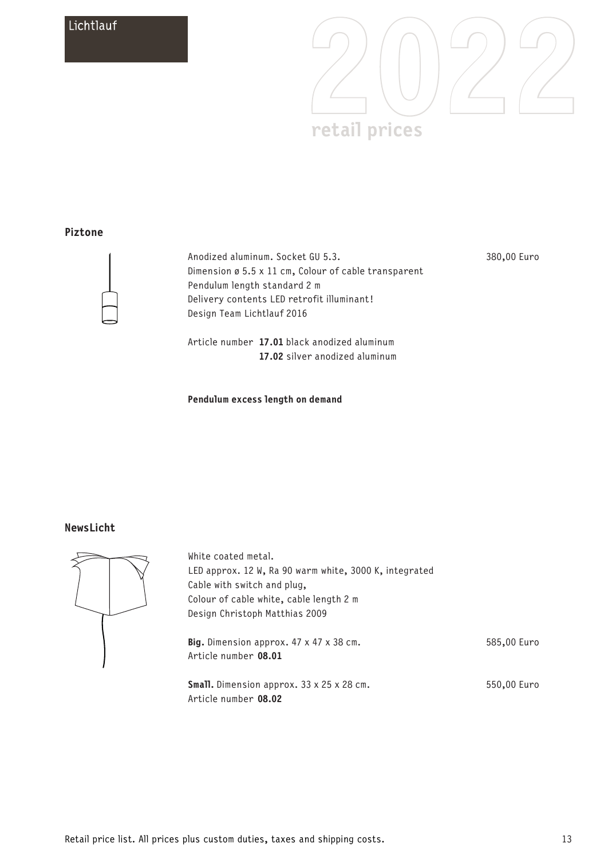

### **Piztone**



Anodized aluminum. Socket GU 5.3. Dimension ø 5.5 x 11 cm, Colour of cable transparent Pendulum length standard 2 m Delivery contents LED retrofit illuminant! Design Team Lichtlauf 2016

380,00 Euro

Article number **17.01** black anodized aluminum  **17.02** silver anodized aluminum

#### **Pendulum excess length on demand**

### **NewsLicht**



| White coated metal.                                                      |             |
|--------------------------------------------------------------------------|-------------|
| LED approx. 12 W, Ra 90 warm white, 3000 K, integrated                   |             |
| Cable with switch and plug,                                              |             |
| Colour of cable white, cable length 2 m                                  |             |
| Design Christoph Matthias 2009                                           |             |
| Big. Dimension approx. 47 x 47 x 38 cm.<br>Article number 08.01          | 585,00 Euro |
| <b>Small.</b> Dimension approx. 33 x 25 x 28 cm.<br>Article number 08.02 | 550,00 Euro |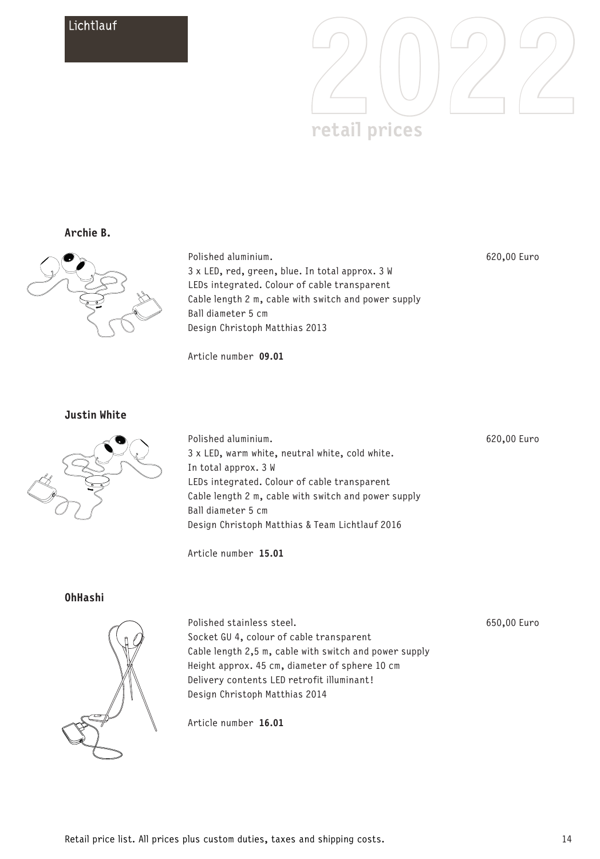

**Archie B.**



Polished aluminium. 3 x LED, red, green, blue. In total approx. 3 W LEDs integrated. Colour of cable transparent Cable length 2 m, cable with switch and power supply Ball diameter 5 cm Design Christoph Matthias 2013

Article number **09.01**

620,00 Euro

**Justin White**



Polished aluminium. 3 x LED, warm white, neutral white, cold white. In total approx. 3 W LEDs integrated. Colour of cable transparent Cable length 2 m, cable with switch and power supply Ball diameter 5 cm Design Christoph Matthias & Team Lichtlauf 2016

Article number **15.01**

**OhHashi**



Polished stainless steel. Socket GU 4, colour of cable transparent Cable length 2,5 m, cable with switch and power supply Height approx. 45 cm, diameter of sphere 10 cm Delivery contents LED retrofit illuminant! Design Christoph Matthias 2014

650,00 Euro

620,00 Euro

Article number **16.01**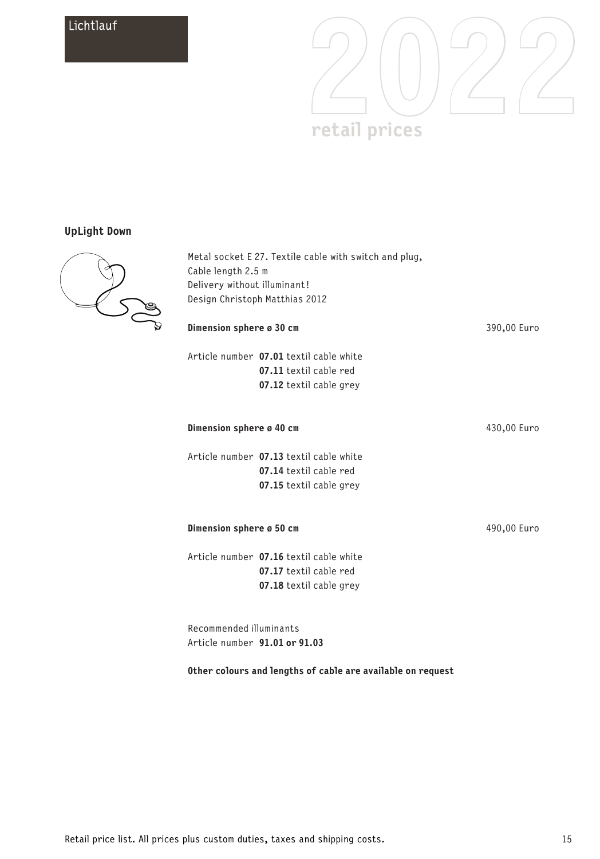

## **UpLight Down**



Metal socket E 27. Textile cable with switch and plug, Cable length 2.5 m Delivery without illuminant! Design Christoph Matthias 2012

| Dimension sphere ø 30 cm                                 |                                                                                              | 390,00 Euro |
|----------------------------------------------------------|----------------------------------------------------------------------------------------------|-------------|
|                                                          | Article number 07.01 textil cable white<br>07.11 textil cable red<br>07.12 textil cable grey |             |
| Dimension sphere ø 40 cm                                 |                                                                                              | 430,00 Euro |
|                                                          | Article number 07.13 textil cable white<br>07.14 textil cable red<br>07.15 textil cable grey |             |
| Dimension sphere ø 50 cm                                 |                                                                                              | 490,00 Euro |
|                                                          | Article number 07.16 textil cable white<br>07.17 textil cable red<br>07.18 textil cable grey |             |
| Recommended illuminants<br>Article number 91.01 or 91.03 |                                                                                              |             |

**Other colours and lengths of cable are available on request**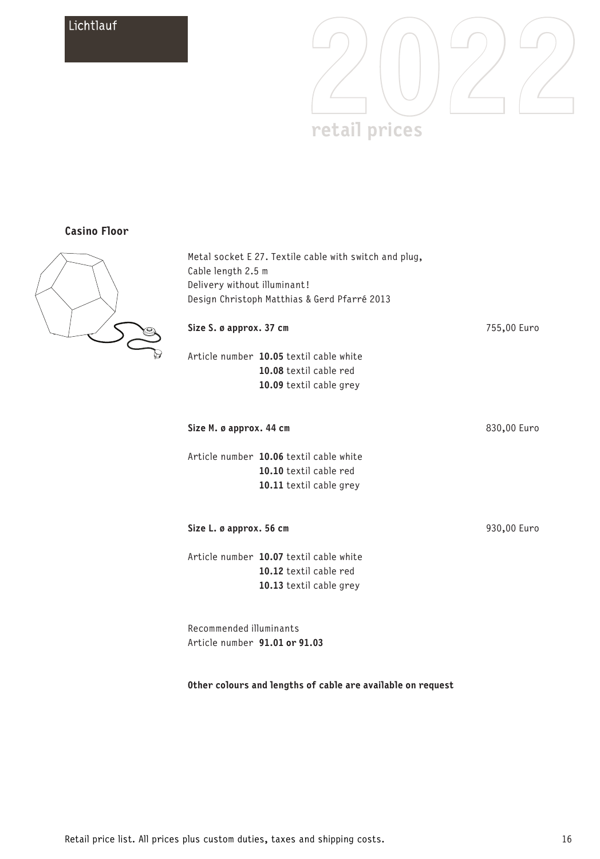

### **Casino Floor**



| Cable length 2.5 m            | Metal socket E 27. Textile cable with switch and plug, |             |
|-------------------------------|--------------------------------------------------------|-------------|
| Delivery without illuminant!  |                                                        |             |
|                               | Design Christoph Matthias & Gerd Pfarré 2013           |             |
| Size S. ø approx. 37 cm       |                                                        | 755,00 Euro |
|                               | Article number 10.05 textil cable white                |             |
|                               | 10.08 textil cable red                                 |             |
|                               | 10.09 textil cable grey                                |             |
| Size M. ø approx. 44 cm       |                                                        | 830,00 Euro |
|                               | Article number 10.06 textil cable white                |             |
|                               | 10.10 textil cable red                                 |             |
|                               | 10.11 textil cable grey                                |             |
| Size L. ø approx. 56 cm       |                                                        | 930,00 Euro |
|                               | Article number 10.07 textil cable white                |             |
|                               | 10.12 textil cable red                                 |             |
|                               | 10.13 textil cable grey                                |             |
| Recommended illuminants       |                                                        |             |
| Article number 91.01 or 91.03 |                                                        |             |

### **Other colours and lengths of cable are available on request**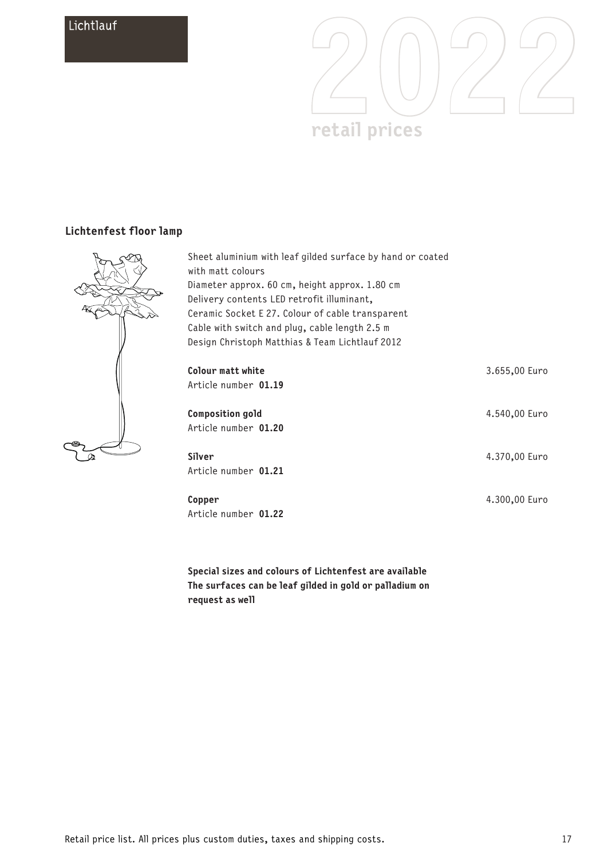

## **Lichtenfest floor lamp**



| Sheet aluminium with leaf gilded surface by hand or coated<br>with matt colours<br>Diameter approx. 60 cm, height approx. 1.80 cm<br>Delivery contents LED retrofit illuminant,<br>Ceramic Socket E 27. Colour of cable transparent<br>Cable with switch and plug, cable length 2.5 m<br>Design Christoph Matthias & Team Lichtlauf 2012 |               |
|------------------------------------------------------------------------------------------------------------------------------------------------------------------------------------------------------------------------------------------------------------------------------------------------------------------------------------------|---------------|
| Colour matt white<br>Article number 01.19                                                                                                                                                                                                                                                                                                | 3.655,00 Euro |
| <b>Composition gold</b><br>Article number 01.20                                                                                                                                                                                                                                                                                          | 4.540,00 Euro |
| Silver<br>Article number 01.21                                                                                                                                                                                                                                                                                                           | 4.370,00 Euro |
| Copper<br>Article number 01.22                                                                                                                                                                                                                                                                                                           | 4.300,00 Euro |

**Special sizes and colours of Lichtenfest are available The surfaces can be leaf gilded in gold or palladium on request as well**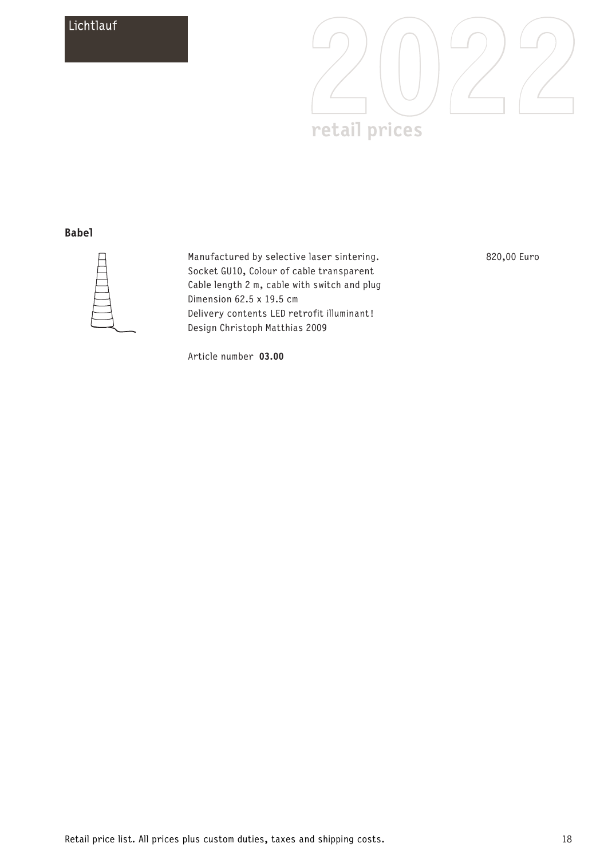

### **Babel**



Manufactured by selective laser sintering. Socket GU10, Colour of cable transparent Cable length 2 m, cable with switch and plug Dimension 62.5 x 19.5 cm Delivery contents LED retrofit illuminant! Design Christoph Matthias 2009

820,00 Euro

Article number **03.00**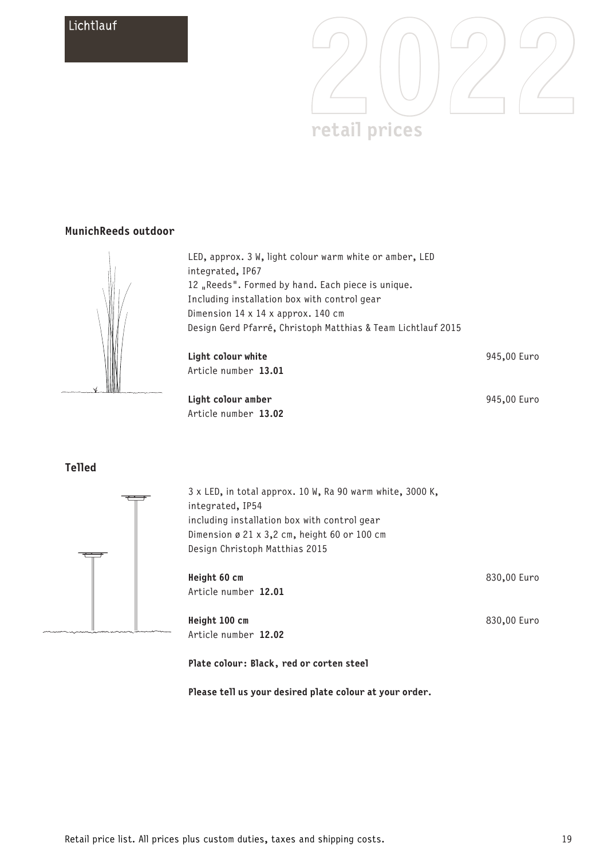

### **MunichReeds outdoor**



LED, approx. 3 W, light colour warm white or amber, LED integrated, IP67 12 Reeds". Formed by hand. Each piece is unique. Including installation box with control gear Dimension 14 x 14 x approx. 140 cm Design Gerd Pfarré, Christoph Matthias & Team Lichtlauf 2015

**Light colour white** Article number **13.01**

**Light colour amber** Article number **13.02** 945,00 Euro

945,00 Euro

830,00 Euro

830,00 Euro

### **Telled**



3 x LED, in total approx. 10 W, Ra 90 warm white, 3000 K, integrated, IP54 including installation box with control gear Dimension ø 21 x 3,2 cm, height 60 or 100 cm Design Christoph Matthias 2015

**Height 60 cm** Article number **12.01**

**Height 100 cm** Article number **12.02**

#### **Plate colour: Black, red or corten steel**

**Please tell us your desired plate colour at your order.**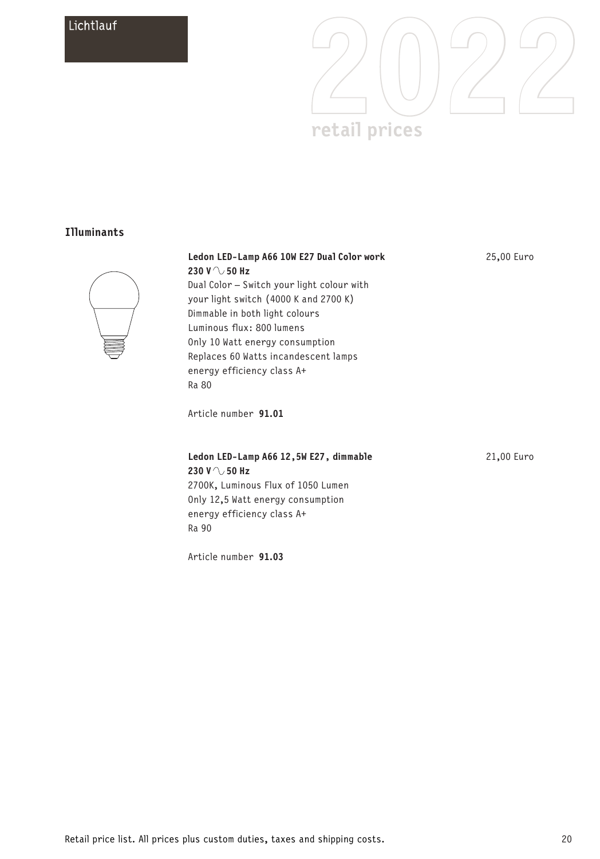

## **Illuminants**



| Ledon LED-Lamp A66 10W E27 Dual Color work | 25,00 Euro |
|--------------------------------------------|------------|
| 230 V $\land$ 50 Hz                        |            |
| Dual Color – Switch your light colour with |            |
| your light switch (4000 K and 2700 K)      |            |
| Dimmable in both light colours             |            |
| Luminous flux: 800 lumens                  |            |
| Only 10 Watt energy consumption            |            |
| Replaces 60 Watts incandescent lamps       |            |
| energy efficiency class A+                 |            |
| Ra 80                                      |            |
|                                            |            |
| Article number 91.01                       |            |

| Ledon LED-Lamp A66 12, 5W E27, dimmable |
|-----------------------------------------|
| 230 V $\land$ 50 Hz                     |
| 2700K, Luminous Flux of 1050 Lumen      |
| Only 12.5 Watt energy consumption       |
| energy efficiency class A+              |
| Ra 90                                   |

Article number **91.03**

21,00 Euro